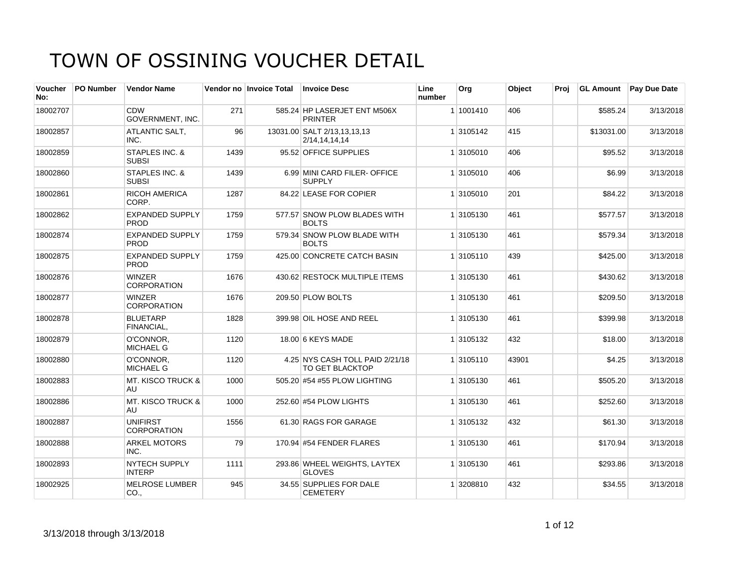| <b>Voucher</b><br>No: | <b>PO Number</b> | <b>Vendor Name</b>                    |      | Vendor no Invoice Total | <b>Invoice Desc</b>                                       | Line<br>number | Org       | Object | Proi |            | <b>GL Amount</b> Pay Due Date |
|-----------------------|------------------|---------------------------------------|------|-------------------------|-----------------------------------------------------------|----------------|-----------|--------|------|------------|-------------------------------|
| 18002707              |                  | CDW<br><b>GOVERNMENT. INC.</b>        | 271  |                         | 585.24 HP LASERJET ENT M506X<br><b>PRINTER</b>            |                | 1 1001410 | 406    |      | \$585.24   | 3/13/2018                     |
| 18002857              |                  | ATLANTIC SALT,<br>INC.                | 96   |                         | 13031.00 SALT 2/13,13,13,13<br>2/14, 14, 14, 14           |                | 1 3105142 | 415    |      | \$13031.00 | 3/13/2018                     |
| 18002859              |                  | STAPLES INC. &<br><b>SUBSI</b>        | 1439 |                         | 95.52 OFFICE SUPPLIES                                     |                | 1 3105010 | 406    |      | \$95.52    | 3/13/2018                     |
| 18002860              |                  | STAPLES INC. &<br><b>SUBSI</b>        | 1439 |                         | 6.99 MINI CARD FILER-OFFICE<br><b>SUPPLY</b>              |                | 1 3105010 | 406    |      | \$6.99     | 3/13/2018                     |
| 18002861              |                  | <b>RICOH AMERICA</b><br>CORP.         | 1287 |                         | 84.22 LEASE FOR COPIER                                    |                | 1 3105010 | 201    |      | \$84.22    | 3/13/2018                     |
| 18002862              |                  | <b>EXPANDED SUPPLY</b><br>PROD        | 1759 |                         | 577.57 SNOW PLOW BLADES WITH<br><b>BOLTS</b>              |                | 1 3105130 | 461    |      | \$577.57   | 3/13/2018                     |
| 18002874              |                  | <b>EXPANDED SUPPLY</b><br><b>PROD</b> | 1759 |                         | 579.34 SNOW PLOW BLADE WITH<br><b>BOLTS</b>               |                | 1 3105130 | 461    |      | \$579.34   | 3/13/2018                     |
| 18002875              |                  | <b>EXPANDED SUPPLY</b><br>PROD        | 1759 |                         | 425.00 CONCRETE CATCH BASIN                               |                | 1 3105110 | 439    |      | \$425.00   | 3/13/2018                     |
| 18002876              |                  | <b>WINZER</b><br><b>CORPORATION</b>   | 1676 |                         | 430.62 RESTOCK MULTIPLE ITEMS                             |                | 1 3105130 | 461    |      | \$430.62   | 3/13/2018                     |
| 18002877              |                  | <b>WINZER</b><br><b>CORPORATION</b>   | 1676 |                         | 209.50 PLOW BOLTS                                         |                | 1 3105130 | 461    |      | \$209.50   | 3/13/2018                     |
| 18002878              |                  | <b>BLUETARP</b><br>FINANCIAL.         | 1828 |                         | 399.98 OIL HOSE AND REEL                                  |                | 1 3105130 | 461    |      | \$399.98   | 3/13/2018                     |
| 18002879              |                  | O'CONNOR,<br><b>MICHAEL G</b>         | 1120 |                         | 18.00 6 KEYS MADE                                         |                | 1 3105132 | 432    |      | \$18.00    | 3/13/2018                     |
| 18002880              |                  | O'CONNOR,<br><b>MICHAEL G</b>         | 1120 |                         | 4.25 NYS CASH TOLL PAID 2/21/18<br><b>TO GET BLACKTOP</b> |                | 1 3105110 | 43901  |      | \$4.25     | 3/13/2018                     |
| 18002883              |                  | <b>MT. KISCO TRUCK &amp;</b><br>AU    | 1000 |                         | 505.20 #54 #55 PLOW LIGHTING                              |                | 1 3105130 | 461    |      | \$505.20   | 3/13/2018                     |
| 18002886              |                  | <b>MT. KISCO TRUCK &amp;</b><br>AU    | 1000 |                         | 252.60 #54 PLOW LIGHTS                                    |                | 1 3105130 | 461    |      | \$252.60   | 3/13/2018                     |
| 18002887              |                  | <b>UNIFIRST</b><br><b>CORPORATION</b> | 1556 |                         | 61.30 RAGS FOR GARAGE                                     |                | 1 3105132 | 432    |      | \$61.30    | 3/13/2018                     |
| 18002888              |                  | <b>ARKEL MOTORS</b><br>INC.           | 79   |                         | 170.94 #54 FENDER FLARES                                  |                | 1 3105130 | 461    |      | \$170.94   | 3/13/2018                     |
| 18002893              |                  | <b>NYTECH SUPPLY</b><br><b>INTERP</b> | 1111 |                         | 293.86 WHEEL WEIGHTS, LAYTEX<br><b>GLOVES</b>             |                | 1 3105130 | 461    |      | \$293.86   | 3/13/2018                     |
| 18002925              |                  | <b>MELROSE LUMBER</b><br>CO.,         | 945  |                         | 34.55 SUPPLIES FOR DALE<br><b>CEMETERY</b>                |                | 1 3208810 | 432    |      | \$34.55    | 3/13/2018                     |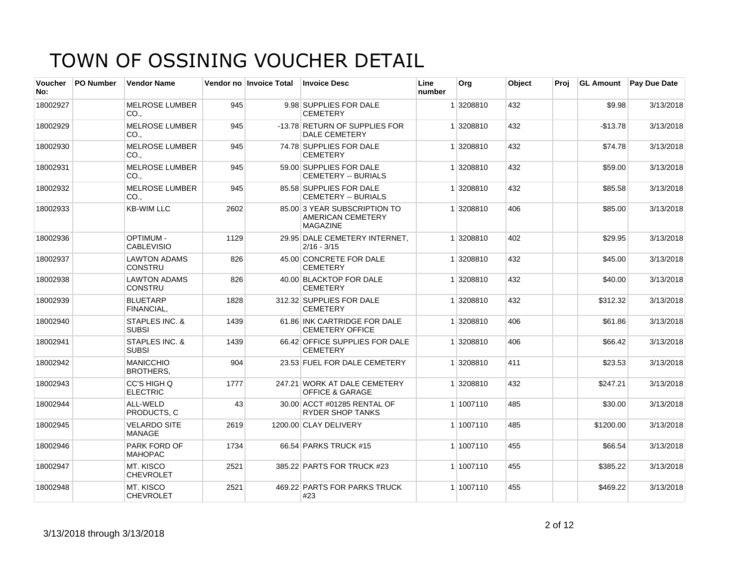| <b>Voucher</b><br>No: | <b>PO Number</b> | <b>Vendor Name</b>                        |      | Vendor no Invoice Total | <b>Invoice Desc</b>                                                  | Line<br>number | Org       | Object | Proj | <b>GL Amount</b> | <b>Pay Due Date</b> |
|-----------------------|------------------|-------------------------------------------|------|-------------------------|----------------------------------------------------------------------|----------------|-----------|--------|------|------------------|---------------------|
| 18002927              |                  | <b>MELROSE LUMBER</b><br>CO.,             | 945  |                         | 9.98 SUPPLIES FOR DALE<br><b>CEMETERY</b>                            |                | 1 3208810 | 432    |      | \$9.98           | 3/13/2018           |
| 18002929              |                  | <b>MELROSE LUMBER</b><br>CO.,             | 945  |                         | -13.78 RETURN OF SUPPLIES FOR<br><b>DALE CEMETERY</b>                |                | 1 3208810 | 432    |      | $-$13.78$        | 3/13/2018           |
| 18002930              |                  | <b>MELROSE LUMBER</b><br>CO <sub>1</sub>  | 945  |                         | 74.78 SUPPLIES FOR DALE<br><b>CEMETERY</b>                           |                | 1 3208810 | 432    |      | \$74.78          | 3/13/2018           |
| 18002931              |                  | <b>MELROSE LUMBER</b><br>CO.,             | 945  |                         | 59.00 SUPPLIES FOR DALE<br><b>CEMETERY -- BURIALS</b>                |                | 1 3208810 | 432    |      | \$59.00          | 3/13/2018           |
| 18002932              |                  | <b>MELROSE LUMBER</b><br>CO.,             | 945  |                         | 85.58 SUPPLIES FOR DALE<br><b>CEMETERY -- BURIALS</b>                |                | 1 3208810 | 432    |      | \$85.58          | 3/13/2018           |
| 18002933              |                  | <b>KB-WIM LLC</b>                         | 2602 |                         | 85.00 3 YEAR SUBSCRIPTION TO<br>AMERICAN CEMETERY<br><b>MAGAZINE</b> |                | 1 3208810 | 406    |      | \$85.00          | 3/13/2018           |
| 18002936              |                  | <b>OPTIMUM -</b><br><b>CABLEVISIO</b>     | 1129 |                         | 29.95 DALE CEMETERY INTERNET.<br>$2/16 - 3/15$                       |                | 1 3208810 | 402    |      | \$29.95          | 3/13/2018           |
| 18002937              |                  | <b>LAWTON ADAMS</b><br><b>CONSTRU</b>     | 826  |                         | 45.00 CONCRETE FOR DALE<br><b>CEMETERY</b>                           |                | 1 3208810 | 432    |      | \$45.00          | 3/13/2018           |
| 18002938              |                  | <b>LAWTON ADAMS</b><br><b>CONSTRU</b>     | 826  |                         | 40.00 BLACKTOP FOR DALE<br><b>CEMETERY</b>                           |                | 1 3208810 | 432    |      | \$40.00          | 3/13/2018           |
| 18002939              |                  | <b>BLUETARP</b><br>FINANCIAL.             | 1828 |                         | 312.32 SUPPLIES FOR DALE<br><b>CEMETERY</b>                          |                | 1 3208810 | 432    |      | \$312.32         | 3/13/2018           |
| 18002940              |                  | <b>STAPLES INC. &amp;</b><br><b>SUBSI</b> | 1439 |                         | 61.86 INK CARTRIDGE FOR DALE<br><b>CEMETERY OFFICE</b>               |                | 1 3208810 | 406    |      | \$61.86          | 3/13/2018           |
| 18002941              |                  | <b>STAPLES INC. &amp;</b><br><b>SUBSI</b> | 1439 |                         | 66.42 OFFICE SUPPLIES FOR DALE<br><b>CEMETERY</b>                    |                | 1 3208810 | 406    |      | \$66.42          | 3/13/2018           |
| 18002942              |                  | <b>MANICCHIO</b><br><b>BROTHERS.</b>      | 904  |                         | 23.53 FUEL FOR DALE CEMETERY                                         |                | 1 3208810 | 411    |      | \$23.53          | 3/13/2018           |
| 18002943              |                  | CC'S HIGH Q<br><b>ELECTRIC</b>            | 1777 |                         | 247.21 WORK AT DALE CEMETERY<br><b>OFFICE &amp; GARAGE</b>           |                | 1 3208810 | 432    |      | \$247.21         | 3/13/2018           |
| 18002944              |                  | AI I-WFID<br>PRODUCTS. C                  | 43   |                         | 30.00 ACCT #01285 RENTAL OF<br><b>RYDER SHOP TANKS</b>               |                | 1 1007110 | 485    |      | \$30.00          | 3/13/2018           |
| 18002945              |                  | <b>VELARDO SITE</b><br><b>MANAGE</b>      | 2619 |                         | 1200.00 CLAY DELIVERY                                                |                | 1 1007110 | 485    |      | \$1200.00        | 3/13/2018           |
| 18002946              |                  | <b>PARK FORD OF</b><br><b>MAHOPAC</b>     | 1734 |                         | 66.54 PARKS TRUCK #15                                                |                | 1 1007110 | 455    |      | \$66.54          | 3/13/2018           |
| 18002947              |                  | MT. KISCO<br><b>CHEVROLET</b>             | 2521 |                         | 385.22 PARTS FOR TRUCK #23                                           |                | 1 1007110 | 455    |      | \$385.22         | 3/13/2018           |
| 18002948              |                  | MT. KISCO<br><b>CHEVROLET</b>             | 2521 |                         | 469.22 PARTS FOR PARKS TRUCK<br>#23                                  |                | 1 1007110 | 455    |      | \$469.22         | 3/13/2018           |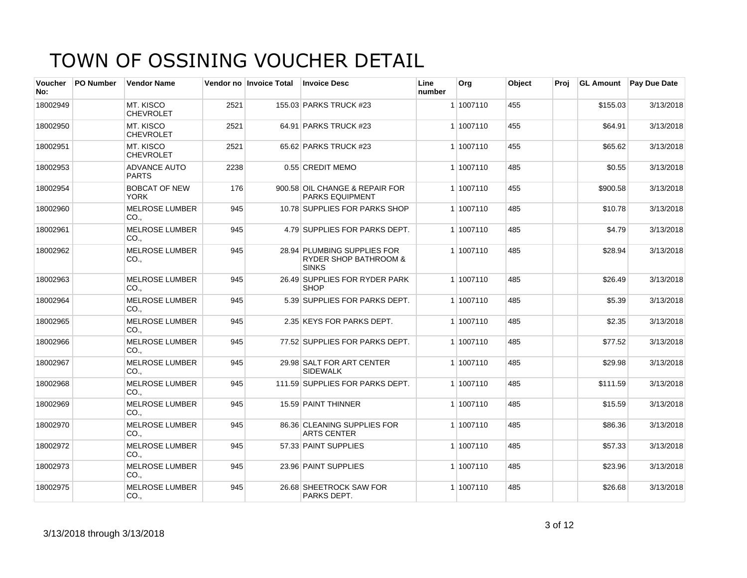| <b>Voucher</b><br>No: | PO Number | <b>Vendor Name</b>                  |      | Vendor no Invoice Total | <b>Invoice Desc</b>                                                             | Line<br>number | Org       | Object | Proj | <b>GL Amount</b> | <b>Pay Due Date</b> |
|-----------------------|-----------|-------------------------------------|------|-------------------------|---------------------------------------------------------------------------------|----------------|-----------|--------|------|------------------|---------------------|
| 18002949              |           | MT. KISCO<br><b>CHEVROLET</b>       | 2521 |                         | 155.03 PARKS TRUCK #23                                                          |                | 1 1007110 | 455    |      | \$155.03         | 3/13/2018           |
| 18002950              |           | MT. KISCO<br><b>CHEVROLET</b>       | 2521 |                         | 64.91 PARKS TRUCK #23                                                           |                | 1 1007110 | 455    |      | \$64.91          | 3/13/2018           |
| 18002951              |           | MT. KISCO<br><b>CHEVROLET</b>       | 2521 |                         | 65.62 PARKS TRUCK #23                                                           |                | 1 1007110 | 455    |      | \$65.62          | 3/13/2018           |
| 18002953              |           | <b>ADVANCE AUTO</b><br><b>PARTS</b> | 2238 |                         | 0.55 CREDIT MEMO                                                                |                | 1 1007110 | 485    |      | \$0.55           | 3/13/2018           |
| 18002954              |           | <b>BOBCAT OF NEW</b><br><b>YORK</b> | 176  |                         | 900.58 OIL CHANGE & REPAIR FOR<br><b>PARKS EQUIPMENT</b>                        |                | 1 1007110 | 455    |      | \$900.58         | 3/13/2018           |
| 18002960              |           | <b>MELROSE LUMBER</b><br>CO.,       | 945  |                         | 10.78 SUPPLIES FOR PARKS SHOP                                                   |                | 1 1007110 | 485    |      | \$10.78          | 3/13/2018           |
| 18002961              |           | <b>MELROSE LUMBER</b><br>CO.,       | 945  |                         | 4.79 SUPPLIES FOR PARKS DEPT.                                                   |                | 1 1007110 | 485    |      | \$4.79           | 3/13/2018           |
| 18002962              |           | <b>MELROSE LUMBER</b><br>CO.,       | 945  |                         | 28.94 PLUMBING SUPPLIES FOR<br><b>RYDER SHOP BATHROOM &amp;</b><br><b>SINKS</b> |                | 1 1007110 | 485    |      | \$28.94          | 3/13/2018           |
| 18002963              |           | <b>MELROSE LUMBER</b><br>CO.,       | 945  |                         | 26.49 SUPPLIES FOR RYDER PARK<br><b>SHOP</b>                                    |                | 1 1007110 | 485    |      | \$26.49          | 3/13/2018           |
| 18002964              |           | <b>MELROSE LUMBER</b><br>CO.,       | 945  |                         | 5.39 SUPPLIES FOR PARKS DEPT.                                                   |                | 1 1007110 | 485    |      | \$5.39           | 3/13/2018           |
| 18002965              |           | <b>MELROSE LUMBER</b><br>CO.,       | 945  |                         | 2.35 KEYS FOR PARKS DEPT.                                                       |                | 1 1007110 | 485    |      | \$2.35           | 3/13/2018           |
| 18002966              |           | <b>MELROSE LUMBER</b><br>CO.        | 945  |                         | 77.52 SUPPLIES FOR PARKS DEPT.                                                  |                | 1 1007110 | 485    |      | \$77.52          | 3/13/2018           |
| 18002967              |           | <b>MELROSE LUMBER</b><br>CO.,       | 945  |                         | 29.98 SALT FOR ART CENTER<br><b>SIDEWALK</b>                                    |                | 1 1007110 | 485    |      | \$29.98          | 3/13/2018           |
| 18002968              |           | <b>MELROSE LUMBER</b><br>CO.,       | 945  |                         | 111.59 SUPPLIES FOR PARKS DEPT.                                                 |                | 1 1007110 | 485    |      | \$111.59         | 3/13/2018           |
| 18002969              |           | <b>MELROSE LUMBER</b><br>CO.,       | 945  |                         | 15.59 PAINT THINNER                                                             |                | 1 1007110 | 485    |      | \$15.59          | 3/13/2018           |
| 18002970              |           | <b>MELROSE LUMBER</b><br>CO.,       | 945  |                         | 86.36 CLEANING SUPPLIES FOR<br><b>ARTS CENTER</b>                               |                | 1 1007110 | 485    |      | \$86.36          | 3/13/2018           |
| 18002972              |           | <b>MELROSE LUMBER</b><br>CO.,       | 945  |                         | 57.33 PAINT SUPPLIES                                                            |                | 1 1007110 | 485    |      | \$57.33          | 3/13/2018           |
| 18002973              |           | <b>MELROSE LUMBER</b><br>CO.,       | 945  |                         | 23.96 PAINT SUPPLIES                                                            |                | 1 1007110 | 485    |      | \$23.96          | 3/13/2018           |
| 18002975              |           | <b>MELROSE LUMBER</b><br>CO.,       | 945  |                         | 26.68 SHEETROCK SAW FOR<br>PARKS DEPT.                                          |                | 1 1007110 | 485    |      | \$26.68          | 3/13/2018           |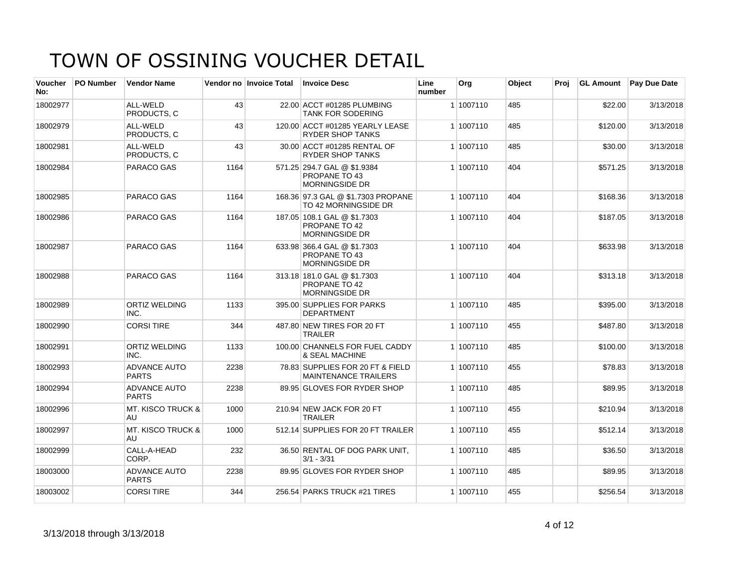| <b>Voucher</b><br>No: | <b>PO Number</b> | <b>Vendor Name</b>                  |      | Vendor no Invoice Total | <b>Invoice Desc</b>                                                   | Line<br>number | Org       | Object | Proj |          | <b>GL Amount</b> Pay Due Date |
|-----------------------|------------------|-------------------------------------|------|-------------------------|-----------------------------------------------------------------------|----------------|-----------|--------|------|----------|-------------------------------|
| 18002977              |                  | ALL-WELD<br>PRODUCTS. C             | 43   |                         | 22.00 ACCT #01285 PLUMBING<br><b>TANK FOR SODERING</b>                |                | 1 1007110 | 485    |      | \$22.00  | 3/13/2018                     |
| 18002979              |                  | ALL-WELD<br>PRODUCTS, C             | 43   |                         | 120.00 ACCT #01285 YEARLY LEASE<br><b>RYDER SHOP TANKS</b>            |                | 1 1007110 | 485    |      | \$120.00 | 3/13/2018                     |
| 18002981              |                  | ALL-WELD<br>PRODUCTS, C             | 43   |                         | 30.00 ACCT #01285 RENTAL OF<br>RYDER SHOP TANKS                       |                | 1 1007110 | 485    |      | \$30.00  | 3/13/2018                     |
| 18002984              |                  | PARACO GAS                          | 1164 |                         | 571.25 294.7 GAL @ \$1.9384<br>PROPANE TO 43<br><b>MORNINGSIDE DR</b> |                | 1 1007110 | 404    |      | \$571.25 | 3/13/2018                     |
| 18002985              |                  | PARACO GAS                          | 1164 |                         | 168.36 97.3 GAL @ \$1.7303 PROPANE<br>TO 42 MORNINGSIDE DR            |                | 1 1007110 | 404    |      | \$168.36 | 3/13/2018                     |
| 18002986              |                  | PARACO GAS                          | 1164 |                         | 187.05 108.1 GAL @ \$1.7303<br>PROPANE TO 42<br><b>MORNINGSIDE DR</b> |                | 1 1007110 | 404    |      | \$187.05 | 3/13/2018                     |
| 18002987              |                  | PARACO GAS                          | 1164 |                         | 633.98 366.4 GAL @ \$1.7303<br>PROPANE TO 43<br><b>MORNINGSIDE DR</b> |                | 1 1007110 | 404    |      | \$633.98 | 3/13/2018                     |
| 18002988              |                  | PARACO GAS                          | 1164 |                         | 313.18 181.0 GAL @ \$1.7303<br>PROPANE TO 42<br><b>MORNINGSIDE DR</b> |                | 1 1007110 | 404    |      | \$313.18 | 3/13/2018                     |
| 18002989              |                  | <b>ORTIZ WELDING</b><br>INC.        | 1133 |                         | 395.00 SUPPLIES FOR PARKS<br><b>DEPARTMENT</b>                        |                | 1 1007110 | 485    |      | \$395.00 | 3/13/2018                     |
| 18002990              |                  | <b>CORSI TIRE</b>                   | 344  |                         | 487.80 NEW TIRES FOR 20 FT<br><b>TRAILER</b>                          |                | 1 1007110 | 455    |      | \$487.80 | 3/13/2018                     |
| 18002991              |                  | <b>ORTIZ WELDING</b><br>INC.        | 1133 |                         | 100.00 CHANNELS FOR FUEL CADDY<br>& SEAL MACHINE                      |                | 1 1007110 | 485    |      | \$100.00 | 3/13/2018                     |
| 18002993              |                  | <b>ADVANCE AUTO</b><br><b>PARTS</b> | 2238 |                         | 78.83 SUPPLIES FOR 20 FT & FIELD<br><b>MAINTENANCE TRAILERS</b>       |                | 1 1007110 | 455    |      | \$78.83  | 3/13/2018                     |
| 18002994              |                  | <b>ADVANCE AUTO</b><br><b>PARTS</b> | 2238 |                         | 89.95 GLOVES FOR RYDER SHOP                                           |                | 1 1007110 | 485    |      | \$89.95  | 3/13/2018                     |
| 18002996              |                  | <b>MT. KISCO TRUCK &amp;</b><br>AU  | 1000 |                         | 210.94 NEW JACK FOR 20 FT<br><b>TRAILER</b>                           |                | 1 1007110 | 455    |      | \$210.94 | 3/13/2018                     |
| 18002997              |                  | <b>MT. KISCO TRUCK &amp;</b><br>AU  | 1000 |                         | 512.14 SUPPLIES FOR 20 FT TRAILER                                     |                | 1 1007110 | 455    |      | \$512.14 | 3/13/2018                     |
| 18002999              |                  | CALL-A-HEAD<br>CORP.                | 232  |                         | 36.50 RENTAL OF DOG PARK UNIT,<br>$3/1 - 3/31$                        |                | 1 1007110 | 485    |      | \$36.50  | 3/13/2018                     |
| 18003000              |                  | <b>ADVANCE AUTO</b><br><b>PARTS</b> | 2238 |                         | 89.95 GLOVES FOR RYDER SHOP                                           |                | 1 1007110 | 485    |      | \$89.95  | 3/13/2018                     |
| 18003002              |                  | <b>CORSI TIRE</b>                   | 344  |                         | 256.54 PARKS TRUCK #21 TIRES                                          |                | 1 1007110 | 455    |      | \$256.54 | 3/13/2018                     |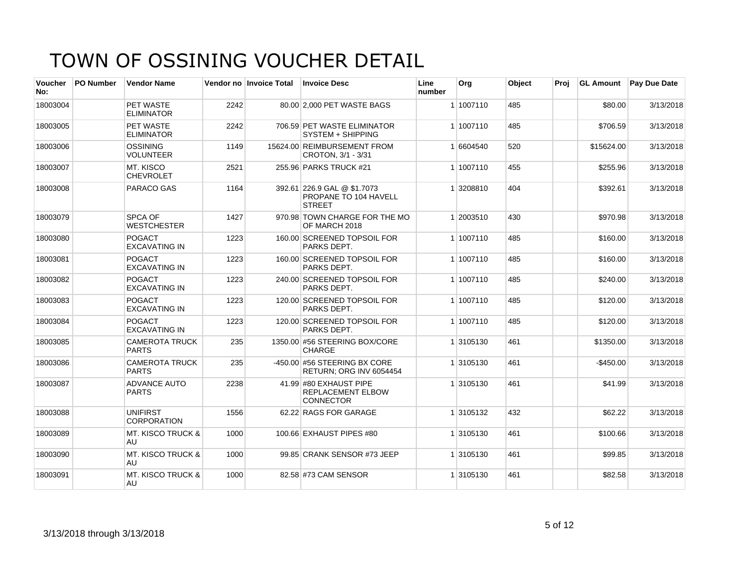| <b>Voucher</b><br>No: | <b>PO Number</b> | <b>Vendor Name</b>                    |      | Vendor no Invoice Total | <b>Invoice Desc</b>                                                    | Line<br>number | Org       | Object | Proj | <b>GL Amount</b> | <b>Pay Due Date</b> |
|-----------------------|------------------|---------------------------------------|------|-------------------------|------------------------------------------------------------------------|----------------|-----------|--------|------|------------------|---------------------|
| 18003004              |                  | PET WASTE<br><b>ELIMINATOR</b>        | 2242 |                         | 80.00 2,000 PET WASTE BAGS                                             |                | 1 1007110 | 485    |      | \$80.00          | 3/13/2018           |
| 18003005              |                  | PET WASTE<br><b>ELIMINATOR</b>        | 2242 |                         | 706.59 PET WASTE ELIMINATOR<br>SYSTEM + SHIPPING                       |                | 1 1007110 | 485    |      | \$706.59         | 3/13/2018           |
| 18003006              |                  | OSSINING<br><b>VOLUNTEER</b>          | 1149 |                         | 15624.00 REIMBURSEMENT FROM<br>CROTON, 3/1 - 3/31                      |                | 1 6604540 | 520    |      | \$15624.00       | 3/13/2018           |
| 18003007              |                  | MT. KISCO<br><b>CHEVROLET</b>         | 2521 |                         | 255.96 PARKS TRUCK #21                                                 |                | 1 1007110 | 455    |      | \$255.96         | 3/13/2018           |
| 18003008              |                  | <b>PARACO GAS</b>                     | 1164 |                         | 392.61 226.9 GAL @ \$1.7073<br>PROPANE TO 104 HAVELL<br><b>STREET</b>  |                | 1 3208810 | 404    |      | \$392.61         | 3/13/2018           |
| 18003079              |                  | SPCA OF<br><b>WESTCHESTER</b>         | 1427 |                         | 970.98 TOWN CHARGE FOR THE MO<br>OF MARCH 2018                         |                | 1 2003510 | 430    |      | \$970.98         | 3/13/2018           |
| 18003080              |                  | <b>POGACT</b><br><b>EXCAVATING IN</b> | 1223 |                         | 160.00 SCREENED TOPSOIL FOR<br>PARKS DEPT.                             |                | 1 1007110 | 485    |      | \$160.00         | 3/13/2018           |
| 18003081              |                  | <b>POGACT</b><br><b>EXCAVATING IN</b> | 1223 |                         | 160.00 SCREENED TOPSOIL FOR<br>PARKS DEPT.                             |                | 1 1007110 | 485    |      | \$160.00         | 3/13/2018           |
| 18003082              |                  | POGACT<br><b>EXCAVATING IN</b>        | 1223 |                         | 240.00 SCREENED TOPSOIL FOR<br>PARKS DEPT.                             |                | 1 1007110 | 485    |      | \$240.00         | 3/13/2018           |
| 18003083              |                  | <b>POGACT</b><br><b>EXCAVATING IN</b> | 1223 |                         | 120.00 SCREENED TOPSOIL FOR<br>PARKS DEPT.                             |                | 1 1007110 | 485    |      | \$120.00         | 3/13/2018           |
| 18003084              |                  | POGACT<br><b>EXCAVATING IN</b>        | 1223 |                         | 120.00 SCREENED TOPSOIL FOR<br>PARKS DEPT.                             |                | 1 1007110 | 485    |      | \$120.00         | 3/13/2018           |
| 18003085              |                  | <b>CAMEROTA TRUCK</b><br><b>PARTS</b> | 235  |                         | 1350.00 #56 STEERING BOX/CORE<br>CHARGE                                |                | 1 3105130 | 461    |      | \$1350.00        | 3/13/2018           |
| 18003086              |                  | <b>CAMEROTA TRUCK</b><br><b>PARTS</b> | 235  |                         | $-450.00$ #56 STEERING BX CORE<br>RETURN; ORG INV 6054454              |                | 1 3105130 | 461    |      | $-$ \$450.00     | 3/13/2018           |
| 18003087              |                  | <b>ADVANCE AUTO</b><br><b>PARTS</b>   | 2238 |                         | 41.99 #80 EXHAUST PIPE<br><b>REPLACEMENT ELBOW</b><br><b>CONNECTOR</b> |                | 1 3105130 | 461    |      | \$41.99          | 3/13/2018           |
| 18003088              |                  | <b>UNIFIRST</b><br><b>CORPORATION</b> | 1556 |                         | 62.22 RAGS FOR GARAGE                                                  |                | 1 3105132 | 432    |      | \$62.22          | 3/13/2018           |
| 18003089              |                  | <b>MT. KISCO TRUCK &amp;</b><br>AU    | 1000 |                         | 100.66 EXHAUST PIPES #80                                               |                | 1 3105130 | 461    |      | \$100.66         | 3/13/2018           |
| 18003090              |                  | MT. KISCO TRUCK &<br>AU               | 1000 |                         | 99.85 CRANK SENSOR #73 JEEP                                            |                | 1 3105130 | 461    |      | \$99.85          | 3/13/2018           |
| 18003091              |                  | <b>MT. KISCO TRUCK &amp;</b><br>AU    | 1000 |                         | 82.58 #73 CAM SENSOR                                                   |                | 1 3105130 | 461    |      | \$82.58          | 3/13/2018           |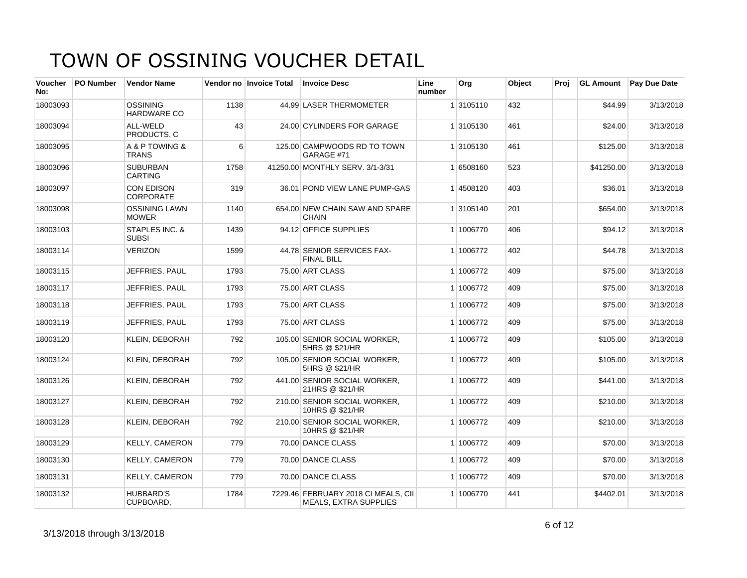| <b>Voucher</b><br>No: | <b>PO Number</b> | <b>Vendor Name</b>                    |      | Vendor no Invoice Total | <b>Invoice Desc</b>                                                 | Line<br>number | Org       | <b>Object</b> | Proi | <b>GL Amount</b> | <b>Pay Due Date</b> |
|-----------------------|------------------|---------------------------------------|------|-------------------------|---------------------------------------------------------------------|----------------|-----------|---------------|------|------------------|---------------------|
| 18003093              |                  | <b>OSSINING</b><br><b>HARDWARE CO</b> | 1138 |                         | 44.99 LASER THERMOMETER                                             |                | 1 3105110 | 432           |      | \$44.99          | 3/13/2018           |
| 18003094              |                  | ALL-WELD<br>PRODUCTS, C               | 43   |                         | 24.00 CYLINDERS FOR GARAGE                                          |                | 1 3105130 | 461           |      | \$24.00          | 3/13/2018           |
| 18003095              |                  | A & P TOWING &<br><b>TRANS</b>        | 6    |                         | 125.00 CAMPWOODS RD TO TOWN<br>GARAGE #71                           |                | 1 3105130 | 461           |      | \$125.00         | 3/13/2018           |
| 18003096              |                  | <b>SUBURBAN</b><br><b>CARTING</b>     | 1758 |                         | 41250.00 MONTHLY SERV. 3/1-3/31                                     |                | 1 6508160 | 523           |      | \$41250.00       | 3/13/2018           |
| 18003097              |                  | <b>CON EDISON</b><br><b>CORPORATE</b> | 319  |                         | 36.01 POND VIEW LANE PUMP-GAS                                       |                | 14508120  | 403           |      | \$36.01          | 3/13/2018           |
| 18003098              |                  | <b>OSSINING LAWN</b><br><b>MOWER</b>  | 1140 |                         | 654.00 NEW CHAIN SAW AND SPARE<br><b>CHAIN</b>                      |                | 1 3105140 | 201           |      | \$654.00         | 3/13/2018           |
| 18003103              |                  | STAPLES INC. &<br><b>SUBSI</b>        | 1439 |                         | 94.12 OFFICE SUPPLIES                                               |                | 1 1006770 | 406           |      | \$94.12          | 3/13/2018           |
| 18003114              |                  | <b>VERIZON</b>                        | 1599 |                         | 44.78 SENIOR SERVICES FAX-<br><b>FINAL BILL</b>                     |                | 1 1006772 | 402           |      | \$44.78          | 3/13/2018           |
| 18003115              |                  | JEFFRIES, PAUL                        | 1793 |                         | 75.00 ART CLASS                                                     |                | 1 1006772 | 409           |      | \$75.00          | 3/13/2018           |
| 18003117              |                  | JEFFRIES, PAUL                        | 1793 |                         | 75.00 ART CLASS                                                     |                | 1 1006772 | 409           |      | \$75.00          | 3/13/2018           |
| 18003118              |                  | JEFFRIES, PAUL                        | 1793 |                         | 75.00 ART CLASS                                                     |                | 1 1006772 | 409           |      | \$75.00          | 3/13/2018           |
| 18003119              |                  | JEFFRIES, PAUL                        | 1793 |                         | 75.00 ART CLASS                                                     |                | 1 1006772 | 409           |      | \$75.00          | 3/13/2018           |
| 18003120              |                  | <b>KLEIN, DEBORAH</b>                 | 792  |                         | 105.00 SENIOR SOCIAL WORKER,<br>5HRS @ \$21/HR                      |                | 1 1006772 | 409           |      | \$105.00         | 3/13/2018           |
| 18003124              |                  | <b>KLEIN, DEBORAH</b>                 | 792  |                         | 105.00 SENIOR SOCIAL WORKER.<br>5HRS @ \$21/HR                      |                | 1 1006772 | 409           |      | \$105.00         | 3/13/2018           |
| 18003126              |                  | <b>KLEIN, DEBORAH</b>                 | 792  |                         | 441.00 SENIOR SOCIAL WORKER,<br>21HRS @ \$21/HR                     |                | 1 1006772 | 409           |      | \$441.00         | 3/13/2018           |
| 18003127              |                  | KLEIN, DEBORAH                        | 792  |                         | 210.00 SENIOR SOCIAL WORKER,<br>10HRS @ \$21/HR                     |                | 1 1006772 | 409           |      | \$210.00         | 3/13/2018           |
| 18003128              |                  | <b>KLEIN, DEBORAH</b>                 | 792  |                         | 210.00 SENIOR SOCIAL WORKER,<br>10HRS @ \$21/HR                     |                | 1 1006772 | 409           |      | \$210.00         | 3/13/2018           |
| 18003129              |                  | <b>KELLY, CAMERON</b>                 | 779  |                         | 70.00 DANCE CLASS                                                   |                | 1 1006772 | 409           |      | \$70.00          | 3/13/2018           |
| 18003130              |                  | <b>KELLY, CAMERON</b>                 | 779  |                         | 70.00 DANCE CLASS                                                   |                | 1 1006772 | 409           |      | \$70.00          | 3/13/2018           |
| 18003131              |                  | <b>KELLY, CAMERON</b>                 | 779  |                         | 70.00 DANCE CLASS                                                   |                | 1 1006772 | 409           |      | \$70.00          | 3/13/2018           |
| 18003132              |                  | <b>HUBBARD'S</b><br>CUPBOARD,         | 1784 |                         | 7229.46 FEBRUARY 2018 CI MEALS, CII<br><b>MEALS, EXTRA SUPPLIES</b> |                | 1 1006770 | 441           |      | \$4402.01        | 3/13/2018           |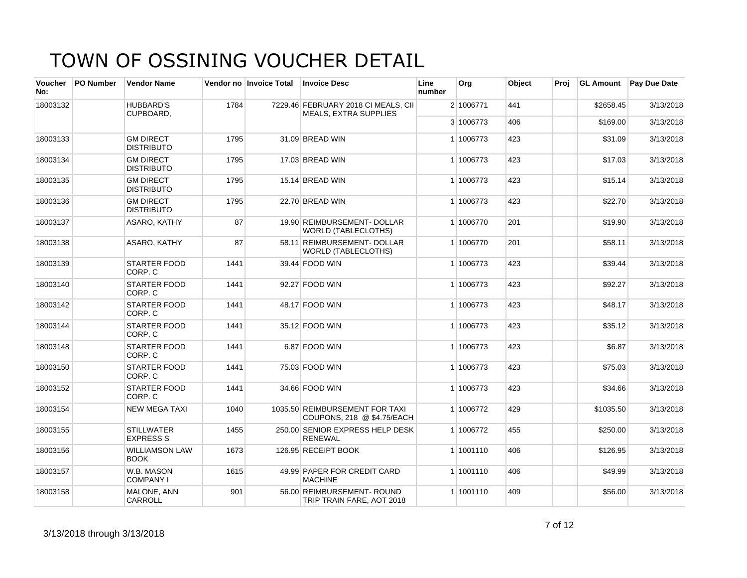| <b>Voucher</b><br>No: | <b>PO Number</b> | <b>Vendor Name</b>                    |      | Vendor no Invoice Total | <b>Invoice Desc</b>                                                 | Line<br>number | Org       | <b>Object</b> | Proi |           | <b>GL Amount</b> Pay Due Date |
|-----------------------|------------------|---------------------------------------|------|-------------------------|---------------------------------------------------------------------|----------------|-----------|---------------|------|-----------|-------------------------------|
| 18003132              |                  | <b>HUBBARD'S</b><br>CUPBOARD.         | 1784 |                         | 7229.46 FEBRUARY 2018 CI MEALS, CII<br><b>MEALS, EXTRA SUPPLIES</b> |                | 2 1006771 | 441           |      | \$2658.45 | 3/13/2018                     |
|                       |                  |                                       |      |                         |                                                                     |                | 3 1006773 | 406           |      | \$169.00  | 3/13/2018                     |
| 18003133              |                  | <b>GM DIRECT</b><br><b>DISTRIBUTO</b> | 1795 |                         | 31.09 BREAD WIN                                                     |                | 1 1006773 | 423           |      | \$31.09   | 3/13/2018                     |
| 18003134              |                  | <b>GM DIRECT</b><br><b>DISTRIBUTO</b> | 1795 |                         | 17.03 BREAD WIN                                                     |                | 1 1006773 | 423           |      | \$17.03   | 3/13/2018                     |
| 18003135              |                  | <b>GM DIRECT</b><br><b>DISTRIBUTO</b> | 1795 |                         | 15.14 BREAD WIN                                                     |                | 1 1006773 | 423           |      | \$15.14   | 3/13/2018                     |
| 18003136              |                  | <b>GM DIRECT</b><br><b>DISTRIBUTO</b> | 1795 |                         | 22.70 BREAD WIN                                                     |                | 1 1006773 | 423           |      | \$22.70   | 3/13/2018                     |
| 18003137              |                  | ASARO, KATHY                          | 87   |                         | 19.90 REIMBURSEMENT- DOLLAR<br><b>WORLD (TABLECLOTHS)</b>           |                | 1 1006770 | 201           |      | \$19.90   | 3/13/2018                     |
| 18003138              |                  | ASARO, KATHY                          | 87   |                         | 58.11 REIMBURSEMENT- DOLLAR<br><b>WORLD (TABLECLOTHS)</b>           |                | 1 1006770 | 201           |      | \$58.11   | 3/13/2018                     |
| 18003139              |                  | STARTER FOOD<br>CORP. C               | 1441 |                         | 39.44 FOOD WIN                                                      |                | 1 1006773 | 423           |      | \$39.44   | 3/13/2018                     |
| 18003140              |                  | STARTER FOOD<br>CORP. C               | 1441 |                         | 92.27 FOOD WIN                                                      |                | 1 1006773 | 423           |      | \$92.27   | 3/13/2018                     |
| 18003142              |                  | STARTER FOOD<br>CORP. C               | 1441 |                         | 48.17 FOOD WIN                                                      |                | 1 1006773 | 423           |      | \$48.17   | 3/13/2018                     |
| 18003144              |                  | <b>STARTER FOOD</b><br>CORP. C        | 1441 |                         | 35.12 FOOD WIN                                                      |                | 1 1006773 | 423           |      | \$35.12   | 3/13/2018                     |
| 18003148              |                  | <b>STARTER FOOD</b><br>CORP. C        | 1441 |                         | 6.87 FOOD WIN                                                       |                | 1 1006773 | 423           |      | \$6.87    | 3/13/2018                     |
| 18003150              |                  | <b>STARTER FOOD</b><br>CORP. C        | 1441 |                         | 75.03 FOOD WIN                                                      |                | 1 1006773 | 423           |      | \$75.03   | 3/13/2018                     |
| 18003152              |                  | STARTER FOOD<br>CORP. C               | 1441 |                         | 34.66 FOOD WIN                                                      |                | 1 1006773 | 423           |      | \$34.66   | 3/13/2018                     |
| 18003154              |                  | <b>NEW MEGA TAXI</b>                  | 1040 |                         | 1035.50 REIMBURSEMENT FOR TAXI<br>COUPONS, 218 @ \$4.75/EACH        |                | 1 1006772 | 429           |      | \$1035.50 | 3/13/2018                     |
| 18003155              |                  | <b>STILLWATER</b><br><b>EXPRESS S</b> | 1455 |                         | 250.00 SENIOR EXPRESS HELP DESK<br><b>RENEWAL</b>                   |                | 1 1006772 | 455           |      | \$250.00  | 3/13/2018                     |
| 18003156              |                  | <b>WILLIAMSON LAW</b><br><b>BOOK</b>  | 1673 |                         | 126.95 RECEIPT BOOK                                                 |                | 1 1001110 | 406           |      | \$126.95  | 3/13/2018                     |
| 18003157              |                  | W.B. MASON<br><b>COMPANY I</b>        | 1615 |                         | 49.99 PAPER FOR CREDIT CARD<br><b>MACHINE</b>                       |                | 1 1001110 | 406           |      | \$49.99   | 3/13/2018                     |
| 18003158              |                  | MALONE, ANN<br>CARROLL                | 901  |                         | 56.00 REIMBURSEMENT- ROUND<br>TRIP TRAIN FARE, AOT 2018             |                | 1 1001110 | 409           |      | \$56.00   | 3/13/2018                     |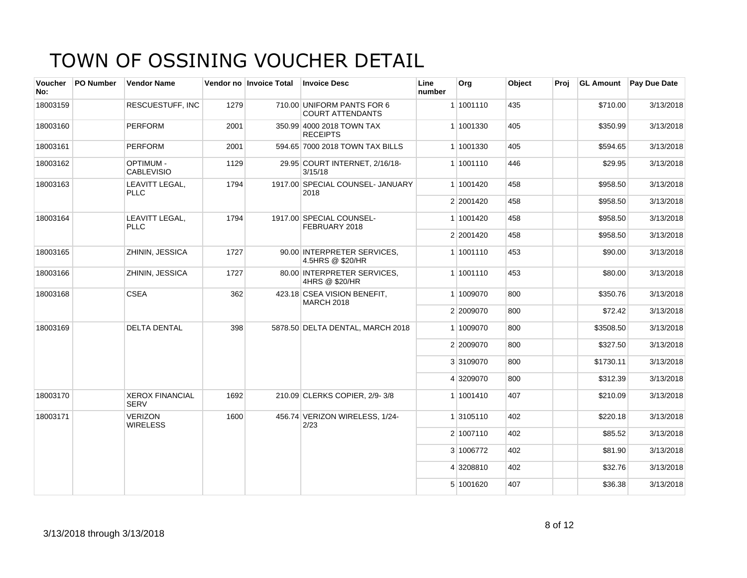| <b>Voucher</b><br>No: | <b>PO Number</b> | <b>Vendor Name</b>                    |      | Vendor no Invoice Total | <b>Invoice Desc</b>                                   | Line<br>number | Org       | Object | Proi | <b>GL Amount</b> | <b>Pay Due Date</b> |
|-----------------------|------------------|---------------------------------------|------|-------------------------|-------------------------------------------------------|----------------|-----------|--------|------|------------------|---------------------|
| 18003159              |                  | RESCUESTUFF, INC                      | 1279 |                         | 710.00 UNIFORM PANTS FOR 6<br><b>COURT ATTENDANTS</b> |                | 1 1001110 | 435    |      | \$710.00         | 3/13/2018           |
| 18003160              |                  | <b>PERFORM</b>                        | 2001 |                         | 350.99 4000 2018 TOWN TAX<br><b>RECEIPTS</b>          |                | 1 1001330 | 405    |      | \$350.99         | 3/13/2018           |
| 18003161              |                  | <b>PERFORM</b>                        | 2001 |                         | 594.65 7000 2018 TOWN TAX BILLS                       |                | 1 1001330 | 405    |      | \$594.65         | 3/13/2018           |
| 18003162              |                  | <b>OPTIMUM -</b><br><b>CABLEVISIO</b> | 1129 |                         | 29.95 COURT INTERNET, 2/16/18-<br>3/15/18             |                | 1 1001110 | 446    |      | \$29.95          | 3/13/2018           |
| 18003163              |                  | LEAVITT LEGAL,<br><b>PLLC</b>         | 1794 |                         | 1917.00 SPECIAL COUNSEL- JANUARY<br>2018              |                | 1 1001420 | 458    |      | \$958.50         | 3/13/2018           |
|                       |                  |                                       |      |                         |                                                       |                | 2 2001420 | 458    |      | \$958.50         | 3/13/2018           |
| 18003164              |                  | LEAVITT LEGAL.<br><b>PLLC</b>         | 1794 |                         | 1917.00 SPECIAL COUNSEL-<br>FEBRUARY 2018             |                | 1 1001420 | 458    |      | \$958.50         | 3/13/2018           |
|                       |                  |                                       |      |                         |                                                       |                | 2 2001420 | 458    |      | \$958.50         | 3/13/2018           |
| 18003165              |                  | ZHININ, JESSICA                       | 1727 |                         | 90.00 INTERPRETER SERVICES.<br>4.5HRS @ \$20/HR       |                | 1 1001110 | 453    |      | \$90.00          | 3/13/2018           |
| 18003166              |                  | ZHININ, JESSICA                       | 1727 |                         | 80.00 INTERPRETER SERVICES.<br>4HRS @ \$20/HR         |                | 1 1001110 | 453    |      | \$80.00          | 3/13/2018           |
| 18003168              |                  | <b>CSEA</b>                           | 362  |                         | 423.18 CSEA VISION BENEFIT,<br><b>MARCH 2018</b>      |                | 1 1009070 | 800    |      | \$350.76         | 3/13/2018           |
|                       |                  |                                       |      |                         |                                                       |                | 2 2009070 | 800    |      | \$72.42          | 3/13/2018           |
| 18003169              |                  | <b>DELTA DENTAL</b>                   | 398  |                         | 5878.50 DELTA DENTAL, MARCH 2018                      |                | 1 1009070 | 800    |      | \$3508.50        | 3/13/2018           |
|                       |                  |                                       |      |                         |                                                       |                | 2 2009070 | 800    |      | \$327.50         | 3/13/2018           |
|                       |                  |                                       |      |                         |                                                       |                | 3 3109070 | 800    |      | \$1730.11        | 3/13/2018           |
|                       |                  |                                       |      |                         |                                                       |                | 4 3209070 | 800    |      | \$312.39         | 3/13/2018           |
| 18003170              |                  | <b>XEROX FINANCIAL</b><br><b>SERV</b> | 1692 |                         | 210.09 CLERKS COPIER, 2/9-3/8                         |                | 1 1001410 | 407    |      | \$210.09         | 3/13/2018           |
| 18003171              |                  | <b>VERIZON</b><br><b>WIRELESS</b>     | 1600 |                         | 456.74 VERIZON WIRELESS, 1/24-<br>2/23                |                | 1 3105110 | 402    |      | \$220.18         | 3/13/2018           |
|                       |                  |                                       |      |                         |                                                       |                | 2 1007110 | 402    |      | \$85.52          | 3/13/2018           |
|                       |                  |                                       |      |                         |                                                       |                | 3 1006772 | 402    |      | \$81.90          | 3/13/2018           |
|                       |                  |                                       |      |                         |                                                       |                | 4 3208810 | 402    |      | \$32.76          | 3/13/2018           |
|                       |                  |                                       |      |                         |                                                       |                | 5 1001620 | 407    |      | \$36.38          | 3/13/2018           |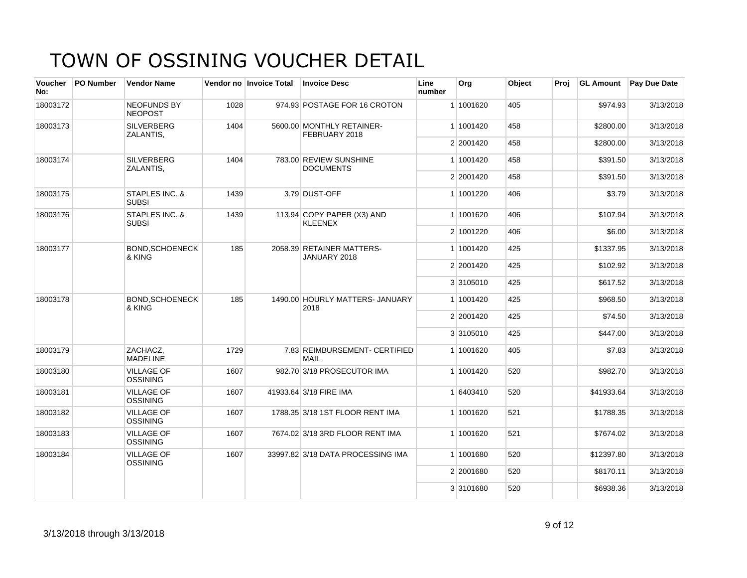| <b>Voucher</b><br>No: | <b>PO Number</b> | <b>Vendor Name</b>                   |      | Vendor no Invoice Total | <b>Invoice Desc</b>                          | Line<br>number | Org       | Object | Proi | <b>GL Amount</b> | <b>Pay Due Date</b> |
|-----------------------|------------------|--------------------------------------|------|-------------------------|----------------------------------------------|----------------|-----------|--------|------|------------------|---------------------|
| 18003172              |                  | <b>NEOFUNDS BY</b><br><b>NEOPOST</b> | 1028 |                         | 974.93 POSTAGE FOR 16 CROTON                 |                | 1 1001620 | 405    |      | \$974.93         | 3/13/2018           |
| 18003173              |                  | <b>SILVERBERG</b><br>ZALANTIS,       | 1404 |                         | 5600.00 MONTHLY RETAINER-<br>FEBRUARY 2018   |                | 1 1001420 | 458    |      | \$2800.00        | 3/13/2018           |
|                       |                  |                                      |      |                         |                                              |                | 2 2001420 | 458    |      | \$2800.00        | 3/13/2018           |
| 18003174              |                  | <b>SILVERBERG</b><br>ZALANTIS,       | 1404 |                         | 783.00 REVIEW SUNSHINE<br><b>DOCUMENTS</b>   |                | 1 1001420 | 458    |      | \$391.50         | 3/13/2018           |
|                       |                  |                                      |      |                         |                                              |                | 2 2001420 | 458    |      | \$391.50         | 3/13/2018           |
| 18003175              |                  | STAPLES INC. &<br><b>SUBSI</b>       | 1439 |                         | 3.79 DUST-OFF                                |                | 1 1001220 | 406    |      | \$3.79           | 3/13/2018           |
| 18003176              |                  | STAPLES INC. &<br><b>SUBSI</b>       | 1439 |                         | 113.94 COPY PAPER (X3) AND<br><b>KLEENEX</b> |                | 1 1001620 | 406    |      | \$107.94         | 3/13/2018           |
|                       |                  |                                      |      |                         |                                              |                | 2 1001220 | 406    |      | \$6.00           | 3/13/2018           |
| 18003177              |                  | <b>BOND, SCHOENECK</b><br>& KING     | 185  |                         | 2058.39 RETAINER MATTERS-<br>JANUARY 2018    |                | 1 1001420 | 425    |      | \$1337.95        | 3/13/2018           |
|                       |                  |                                      |      |                         |                                              |                | 2 2001420 | 425    |      | \$102.92         | 3/13/2018           |
|                       |                  |                                      |      |                         |                                              |                | 3 3105010 | 425    |      | \$617.52         | 3/13/2018           |
| 18003178              |                  | <b>BOND.SCHOENECK</b><br>& KING      | 185  |                         | 1490.00 HOURLY MATTERS- JANUARY<br>2018      |                | 1 1001420 | 425    |      | \$968.50         | 3/13/2018           |
|                       |                  |                                      |      |                         |                                              |                | 2 2001420 | 425    |      | \$74.50          | 3/13/2018           |
|                       |                  |                                      |      |                         |                                              |                | 3 3105010 | 425    |      | \$447.00         | 3/13/2018           |
| 18003179              |                  | ZACHACZ.<br><b>MADELINE</b>          | 1729 |                         | 7.83 REIMBURSEMENT- CERTIFIED<br><b>MAIL</b> |                | 1 1001620 | 405    |      | \$7.83           | 3/13/2018           |
| 18003180              |                  | <b>VILLAGE OF</b><br><b>OSSINING</b> | 1607 |                         | 982.70 3/18 PROSECUTOR IMA                   |                | 1 1001420 | 520    |      | \$982.70         | 3/13/2018           |
| 18003181              |                  | <b>VILLAGE OF</b><br><b>OSSINING</b> | 1607 |                         | 41933.64 3/18 FIRE IMA                       |                | 1 6403410 | 520    |      | \$41933.64       | 3/13/2018           |
| 18003182              |                  | <b>VILLAGE OF</b><br><b>OSSINING</b> | 1607 |                         | 1788.35 3/18 1ST FLOOR RENT IMA              |                | 1 1001620 | 521    |      | \$1788.35        | 3/13/2018           |
| 18003183              |                  | <b>VILLAGE OF</b><br><b>OSSINING</b> | 1607 |                         | 7674.02 3/18 3RD FLOOR RENT IMA              |                | 1 1001620 | 521    |      | \$7674.02        | 3/13/2018           |
| 18003184              |                  | <b>VILLAGE OF</b><br><b>OSSINING</b> | 1607 |                         | 33997.82 3/18 DATA PROCESSING IMA            |                | 1 1001680 | 520    |      | \$12397.80       | 3/13/2018           |
|                       |                  |                                      |      |                         |                                              |                | 2 2001680 | 520    |      | \$8170.11        | 3/13/2018           |
|                       |                  |                                      |      |                         |                                              |                | 3 3101680 | 520    |      | \$6938.36        | 3/13/2018           |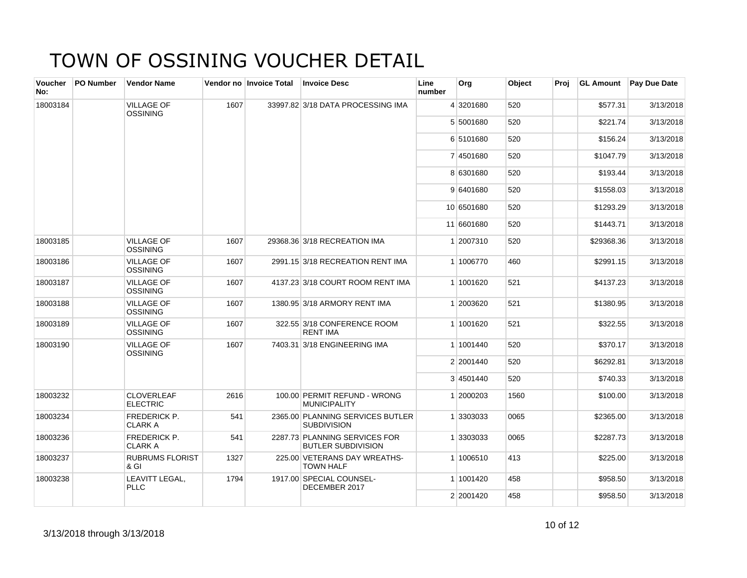| <b>Voucher</b><br>No: | <b>PO Number</b> | <b>Vendor Name</b>                    |      | Vendor no Invoice Total | <b>Invoice Desc</b>                                        | Line<br>number | Org        | Object | Proj | <b>GL Amount</b> | Pay Due Date |
|-----------------------|------------------|---------------------------------------|------|-------------------------|------------------------------------------------------------|----------------|------------|--------|------|------------------|--------------|
| 18003184              |                  | <b>VILLAGE OF</b><br><b>OSSINING</b>  | 1607 |                         | 33997.82 3/18 DATA PROCESSING IMA                          |                | 4 3201680  | 520    |      | \$577.31         | 3/13/2018    |
|                       |                  |                                       |      |                         |                                                            |                | 5 5001680  | 520    |      | \$221.74         | 3/13/2018    |
|                       |                  |                                       |      |                         |                                                            |                | 6 5101680  | 520    |      | \$156.24         | 3/13/2018    |
|                       |                  |                                       |      |                         |                                                            |                | 7 4501680  | 520    |      | \$1047.79        | 3/13/2018    |
|                       |                  |                                       |      |                         |                                                            |                | 8 6301680  | 520    |      | \$193.44         | 3/13/2018    |
|                       |                  |                                       |      |                         |                                                            |                | 9 6401680  | 520    |      | \$1558.03        | 3/13/2018    |
|                       |                  |                                       |      |                         |                                                            |                | 10 6501680 | 520    |      | \$1293.29        | 3/13/2018    |
|                       |                  |                                       |      |                         |                                                            |                | 11 6601680 | 520    |      | \$1443.71        | 3/13/2018    |
| 18003185              |                  | <b>VILLAGE OF</b><br><b>OSSINING</b>  | 1607 |                         | 29368.36 3/18 RECREATION IMA                               |                | 1 2007310  | 520    |      | \$29368.36       | 3/13/2018    |
| 18003186              |                  | <b>VILLAGE OF</b><br><b>OSSINING</b>  | 1607 |                         | 2991.15 3/18 RECREATION RENT IMA                           |                | 1 1006770  | 460    |      | \$2991.15        | 3/13/2018    |
| 18003187              |                  | <b>VILLAGE OF</b><br><b>OSSINING</b>  | 1607 |                         | 4137.23 3/18 COURT ROOM RENT IMA                           |                | 1 1001620  | 521    |      | \$4137.23        | 3/13/2018    |
| 18003188              |                  | <b>VILLAGE OF</b><br><b>OSSINING</b>  | 1607 |                         | 1380.95 3/18 ARMORY RENT IMA                               |                | 1 2003620  | 521    |      | \$1380.95        | 3/13/2018    |
| 18003189              |                  | <b>VILLAGE OF</b><br><b>OSSINING</b>  | 1607 |                         | 322.55 3/18 CONFERENCE ROOM<br><b>RENT IMA</b>             |                | 1 1001620  | 521    |      | \$322.55         | 3/13/2018    |
| 18003190              |                  | <b>VILLAGE OF</b><br><b>OSSINING</b>  | 1607 |                         | 7403.31 3/18 ENGINEERING IMA                               |                | 1 1001440  | 520    |      | \$370.17         | 3/13/2018    |
|                       |                  |                                       |      |                         |                                                            |                | 2 2001440  | 520    |      | \$6292.81        | 3/13/2018    |
|                       |                  |                                       |      |                         |                                                            |                | 3 4501440  | 520    |      | \$740.33         | 3/13/2018    |
| 18003232              |                  | <b>CLOVERLEAF</b><br><b>ELECTRIC</b>  | 2616 |                         | 100.00 PERMIT REFUND - WRONG<br><b>MUNICIPALITY</b>        |                | 1 2000203  | 1560   |      | \$100.00         | 3/13/2018    |
| 18003234              |                  | FREDERICK P.<br><b>CLARK A</b>        | 541  |                         | 2365.00 PLANNING SERVICES BUTLER<br><b>SUBDIVISION</b>     |                | 1 3303033  | 0065   |      | \$2365.00        | 3/13/2018    |
| 18003236              |                  | <b>FREDERICK P.</b><br><b>CLARK A</b> | 541  |                         | 2287.73 PLANNING SERVICES FOR<br><b>BUTLER SUBDIVISION</b> |                | 1 3303033  | 0065   |      | \$2287.73        | 3/13/2018    |
| 18003237              |                  | <b>RUBRUMS FLORIST</b><br>& GI        | 1327 |                         | 225.00 VETERANS DAY WREATHS-<br><b>TOWN HALF</b>           |                | 1 1006510  | 413    |      | \$225.00         | 3/13/2018    |
| 18003238              |                  | LEAVITT LEGAL,<br><b>PLLC</b>         | 1794 |                         | 1917.00 SPECIAL COUNSEL-<br>DECEMBER 2017                  |                | 1 1001420  | 458    |      | \$958.50         | 3/13/2018    |
|                       |                  |                                       |      |                         |                                                            |                | 2 2001420  | 458    |      | \$958.50         | 3/13/2018    |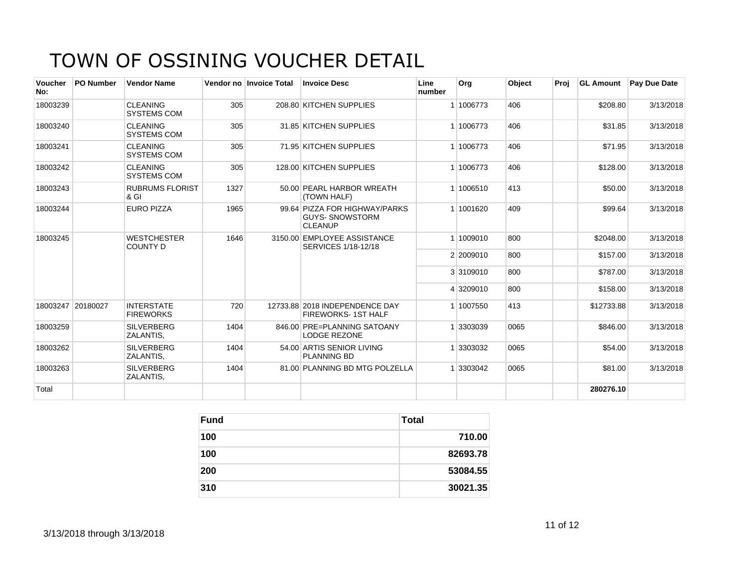| <b>Voucher</b><br>No: | <b>PO Number</b>  | <b>Vendor Name</b>                        |      | Vendor no Invoice Total | <b>Invoice Desc</b>                                                       | Line<br>number | Org       | Object | Proi | <b>GL Amount</b> | Pay Due Date |
|-----------------------|-------------------|-------------------------------------------|------|-------------------------|---------------------------------------------------------------------------|----------------|-----------|--------|------|------------------|--------------|
| 18003239              |                   | <b>CLEANING</b><br><b>SYSTEMS COM</b>     | 305  |                         | 208.80 KITCHEN SUPPLIES                                                   |                | 1 1006773 | 406    |      | \$208.80         | 3/13/2018    |
| 18003240              |                   | <b>CLEANING</b><br><b>SYSTEMS COM</b>     | 305  |                         | 31.85 KITCHEN SUPPLIES                                                    |                | 1006773   | 406    |      | \$31.85          | 3/13/2018    |
| 18003241              |                   | <b>CLEANING</b><br><b>SYSTEMS COM</b>     | 305  |                         | 71.95 KITCHEN SUPPLIES                                                    |                | 1 1006773 | 406    |      | \$71.95          | 3/13/2018    |
| 18003242              |                   | <b>CLEANING</b><br><b>SYSTEMS COM</b>     | 305  |                         | 128.00 KITCHEN SUPPLIES                                                   |                | 1 1006773 | 406    |      | \$128.00         | 3/13/2018    |
| 18003243              |                   | <b>RUBRUMS FLORIST</b><br>8 <sub>GI</sub> | 1327 |                         | 50.00 PEARL HARBOR WREATH<br>(TOWN HALF)                                  |                | 1 1006510 | 413    |      | \$50.00          | 3/13/2018    |
| 18003244              |                   | <b>EURO PIZZA</b>                         | 1965 |                         | 99.64 PIZZA FOR HIGHWAY/PARKS<br><b>GUYS- SNOWSTORM</b><br><b>CLEANUP</b> |                | 1 1001620 | 409    |      | \$99.64          | 3/13/2018    |
| 18003245              |                   | <b>WESTCHESTER</b><br><b>COUNTY D</b>     | 1646 |                         | 3150.00 EMPLOYEE ASSISTANCE<br>SERVICES 1/18-12/18                        |                | 1 1009010 | 800    |      | \$2048.00        | 3/13/2018    |
|                       |                   |                                           |      |                         |                                                                           |                | 2 2009010 | 800    |      | \$157.00         | 3/13/2018    |
|                       |                   |                                           |      |                         |                                                                           |                | 3 3109010 | 800    |      | \$787.00         | 3/13/2018    |
|                       |                   |                                           |      |                         |                                                                           |                | 4 3209010 | 800    |      | \$158.00         | 3/13/2018    |
|                       | 18003247 20180027 | <b>INTERSTATE</b><br><b>FIREWORKS</b>     | 720  |                         | 12733.88 2018 INDEPENDENCE DAY<br><b>FIREWORKS-1ST HALF</b>               |                | 1 1007550 | 413    |      | \$12733.88       | 3/13/2018    |
| 18003259              |                   | <b>SILVERBERG</b><br>ZALANTIS,            | 1404 |                         | 846.00 PRE=PLANNING SATOANY<br><b>LODGE REZONE</b>                        |                | 3303039   | 0065   |      | \$846.00         | 3/13/2018    |
| 18003262              |                   | <b>SILVERBERG</b><br>ZALANTIS,            | 1404 |                         | 54.00 ARTIS SENIOR LIVING<br>PLANNING BD                                  |                | 3303032   | 0065   |      | \$54.00          | 3/13/2018    |
| 18003263              |                   | <b>SILVERBERG</b><br>ZALANTIS,            | 1404 |                         | 81.00 PLANNING BD MTG POLZELLA                                            |                | 3303042   | 0065   |      | \$81.00          | 3/13/2018    |
| Total                 |                   |                                           |      |                         |                                                                           |                |           |        |      | 280276.10        |              |

| <b>Fund</b> | Total    |
|-------------|----------|
| 100         | 710.00   |
| 100         | 82693.78 |
| 200         | 53084.55 |
| 310         | 30021.35 |